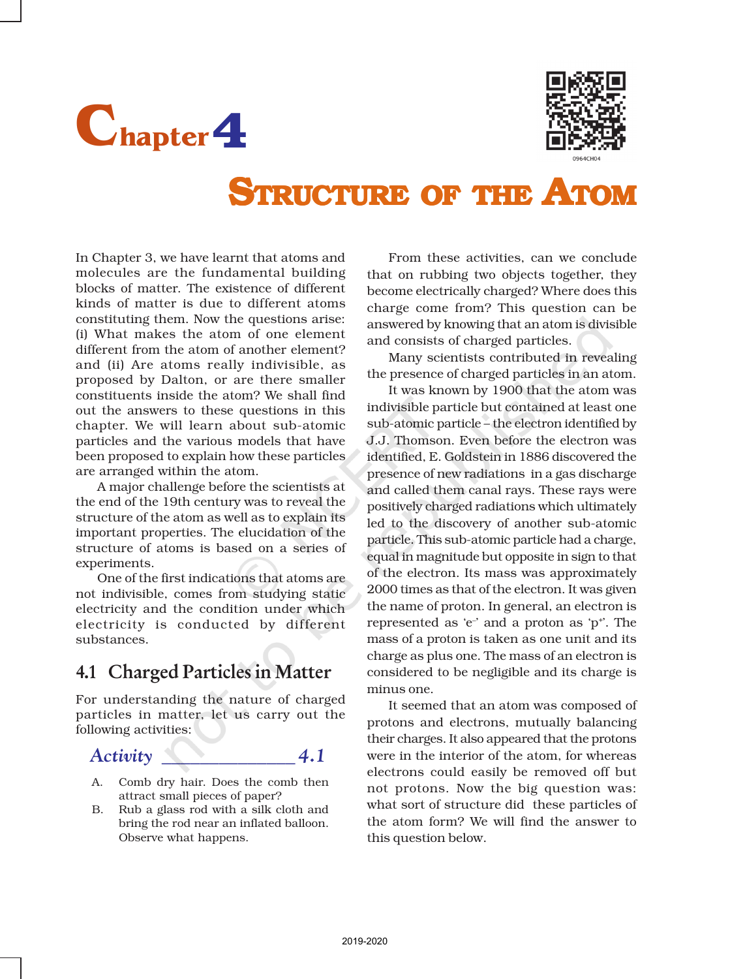



# STRUCTURE OF THE ATOM

In Chapter 3, we have learnt that atoms and molecules are the fundamental building blocks of matter. The existence of different kinds of matter is due to different atoms constituting them. Now the questions arise: (i) What makes the atom of one element different from the atom of another element? and (ii) Are atoms really indivisible, as proposed by Dalton, or are there smaller constituents inside the atom? We shall find out the answers to these questions in this chapter. We will learn about sub-atomic particles and the various models that have been proposed to explain how these particles are arranged within the atom.

A major challenge before the scientists at the end of the 19th century was to reveal the structure of the atom as well as to explain its important properties. The elucidation of the structure of atoms is based on a series of experiments.

One of the first indications that atoms are not indivisible, comes from studying static electricity and the condition under which electricity is conducted by different substances.

# 4.1 Charged Particles in Matter

For understanding the nature of charged particles in matter, let us carry out the following activities:

#### *Activity \_\_\_\_\_\_\_\_\_\_\_\_\_\_ 4.1*

- A. Comb dry hair. Does the comb then attract small pieces of paper?
- B. Rub a glass rod with a silk cloth and bring the rod near an inflated balloon. Observe what happens.

From these activities, can we conclude that on rubbing two objects together, they become electrically charged? Where does this charge come from? This question can be answered by knowing that an atom is divisible and consists of charged particles.

Many scientists contributed in revealing the presence of charged particles in an atom.

It was known by 1900 that the atom was indivisible particle but contained at least one sub-atomic particle – the electron identified by J.J. Thomson. Even before the electron was identified, E. Goldstein in 1886 discovered the presence of new radiations in a gas discharge and called them canal rays. These rays were positively charged radiations which ultimately led to the discovery of another sub-atomic particle. This sub-atomic particle had a charge, equal in magnitude but opposite in sign to that of the electron. Its mass was approximately 2000 times as that of the electron. It was given the name of proton. In general, an electron is represented as 'e-' and a proton as 'p<sup>+</sup>'. The mass of a proton is taken as one unit and its charge as plus one. The mass of an electron is considered to be negligible and its charge is minus one.

It seemed that an atom was composed of protons and electrons, mutually balancing their charges. It also appeared that the protons were in the interior of the atom, for whereas electrons could easily be removed off but not protons. Now the big question was: what sort of structure did these particles of the atom form? We will find the answer to this question below.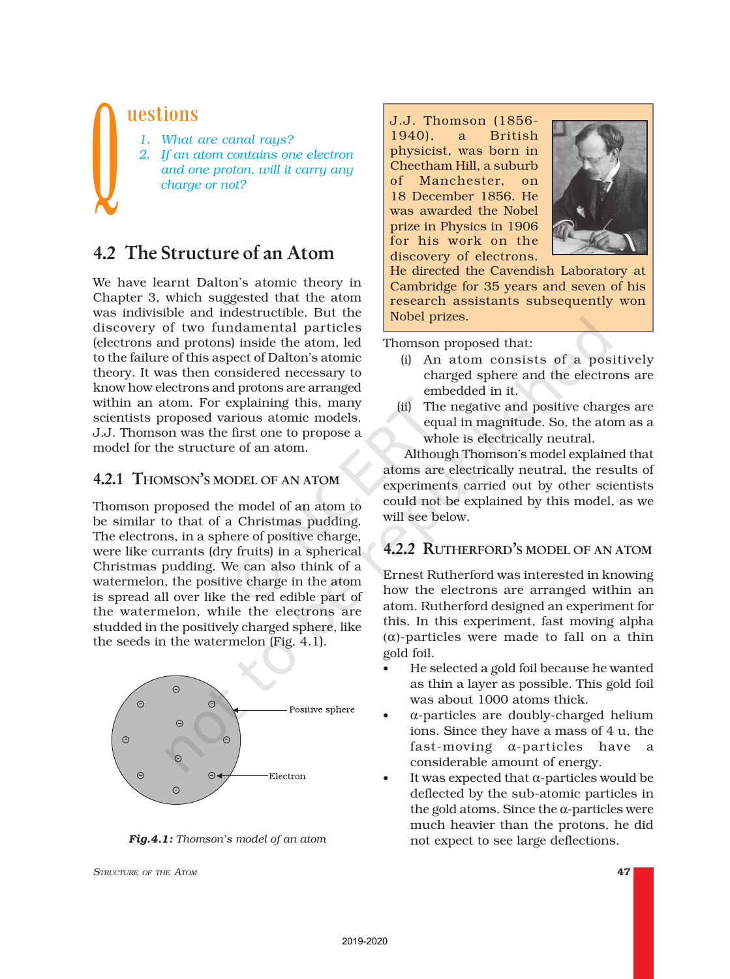## uestions

- *1. What are canal rays?*
- *2. If an atom contains one electron and one proton, will it carry any charge or not?*  $\bigcup$

# 4.2 The Structure of an Atom

We have learnt Dalton's atomic theory in Chapter 3, which suggested that the atom was indivisible and indestructible. But the discovery of two fundamental particles (electrons and protons) inside the atom, led to the failure of this aspect of Dalton's atomic theory. It was then considered necessary to know how electrons and protons are arranged within an atom. For explaining this, many scientists proposed various atomic models. J.J. Thomson was the first one to propose a model for the structure of an atom.

#### 4.2.1 THOMSON'<sup>S</sup> MODEL OF AN ATOM

Thomson proposed the model of an atom to be similar to that of a Christmas pudding. The electrons, in a sphere of positive charge, were like currants (dry fruits) in a spherical Christmas pudding. We can also think of a watermelon, the positive charge in the atom is spread all over like the red edible part of the watermelon, while the electrons are studded in the positively charged sphere, like the seeds in the watermelon (Fig. 4.1).



*Fig.4.1: Thomson's model of an atom*

*STRUCTURE OF THE ATOM* 47

J.J. Thomson (1856- 1940), a British physicist, was born in Cheetham Hill, a suburb of Manchester, on 18 December 1856. He was awarded the Nobel prize in Physics in 1906 for his work on the discovery of electrons.



He directed the Cavendish Laboratory at Cambridge for 35 years and seven of his research assistants subsequently won Nobel prizes.

Thomson proposed that:

- (i) An atom consists of a positively charged sphere and the electrons are embedded in it.
- (ii) The negative and positive charges are equal in magnitude. So, the atom as a whole is electrically neutral.

Although Thomson's model explained that atoms are electrically neutral, the results of experiments carried out by other scientists could not be explained by this model, as we will see below.

## 4.2.2 RUTHERFORD'<sup>S</sup> MODEL OF AN ATOM

Ernest Rutherford was interested in knowing how the electrons are arranged within an atom. Rutherford designed an experiment for this. In this experiment, fast moving alpha (α)-particles were made to fall on a thin gold foil.

- He selected a gold foil because he wanted as thin a layer as possible. This gold foil was about 1000 atoms thick.
- α-particles are doubly-charged helium ions. Since they have a mass of 4 u, the fast-moving α-particles have a considerable amount of energy.
- It was expected that  $\alpha$ -particles would be deflected by the sub-atomic particles in the gold atoms. Since the  $\alpha$ -particles were much heavier than the protons, he did not expect to see large deflections.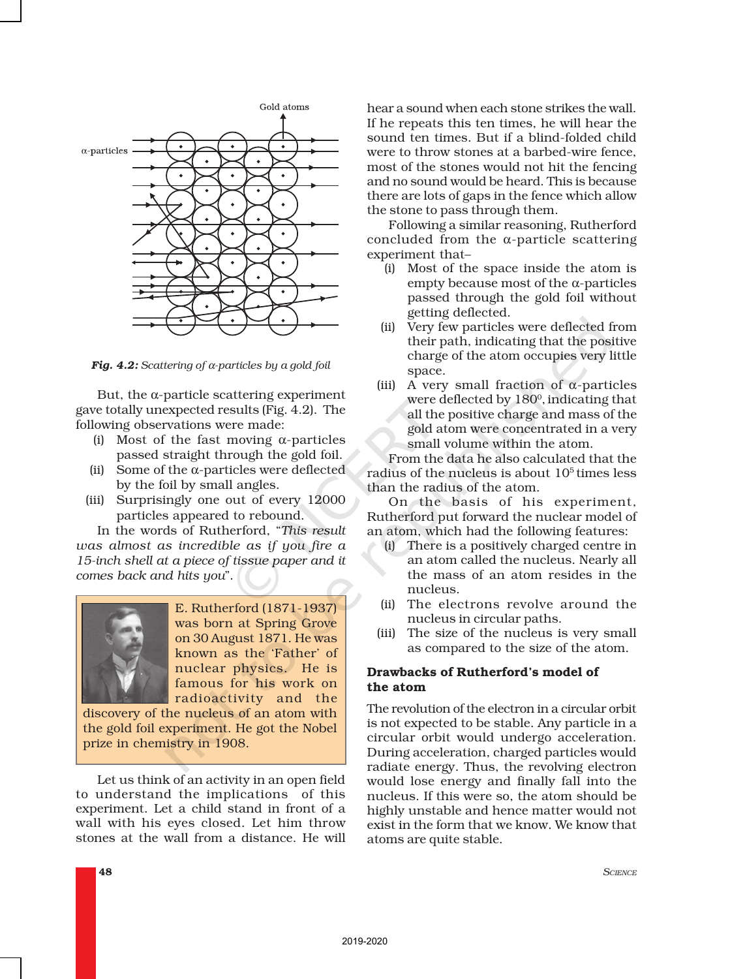

*Fig. 4.2: Scattering of* α*-particles by a gold foil*

But, the α-particle scattering experiment gave totally unexpected results (Fig. 4.2). The following observations were made:

- (i) Most of the fast moving  $\alpha$ -particles passed straight through the gold foil.
- (ii) Some of the  $\alpha$ -particles were deflected by the foil by small angles.
- (iii) Surprisingly one out of every 12000 particles appeared to rebound.

In the words of Rutherford, "*This result was almost as incredible as if you fire a 15-inch shell at a piece of tissue paper and it comes back and hits you*".



E. Rutherford (1871-1937) was born at Spring Grove on 30 August 1871. He was known as the 'Father' of nuclear physics. He is famous for his work on radioactivity and the

discovery of the nucleus of an atom with the gold foil experiment. He got the Nobel prize in chemistry in 1908.

Let us think of an activity in an open field to understand the implications of this experiment. Let a child stand in front of a wall with his eyes closed. Let him throw stones at the wall from a distance. He will

hear a sound when each stone strikes the wall. If he repeats this ten times, he will hear the sound ten times. But if a blind-folded child were to throw stones at a barbed-wire fence, most of the stones would not hit the fencing and no sound would be heard. This is because there are lots of gaps in the fence which allow the stone to pass through them.

Following a similar reasoning, Rutherford concluded from the α-particle scattering experiment that–

- (i) Most of the space inside the atom is empty because most of the α-particles passed through the gold foil without getting deflected.
- (ii) Very few particles were deflected from their path, indicating that the positive charge of the atom occupies very little space.
- (iii) A very small fraction of  $\alpha$ -particles were deflected by  $180^{\rm o}$ , indicating that all the positive charge and mass of the gold atom were concentrated in a very small volume within the atom.

From the data he also calculated that the radius of the nucleus is about  $10<sup>5</sup>$  times less than the radius of the atom.

On the basis of his experiment, Rutherford put forward the nuclear model of an atom, which had the following features:

- (i) There is a positively charged centre in an atom called the nucleus. Nearly all the mass of an atom resides in the nucleus.
- (ii) The electrons revolve around the nucleus in circular paths.
- (iii) The size of the nucleus is very small as compared to the size of the atom.

#### Drawbacks of Rutherford's model of the atom

The revolution of the electron in a circular orbit is not expected to be stable. Any particle in a circular orbit would undergo acceleration. During acceleration, charged particles would radiate energy. Thus, the revolving electron would lose energy and finally fall into the nucleus. If this were so, the atom should be highly unstable and hence matter would not exist in the form that we know. We know that atoms are quite stable.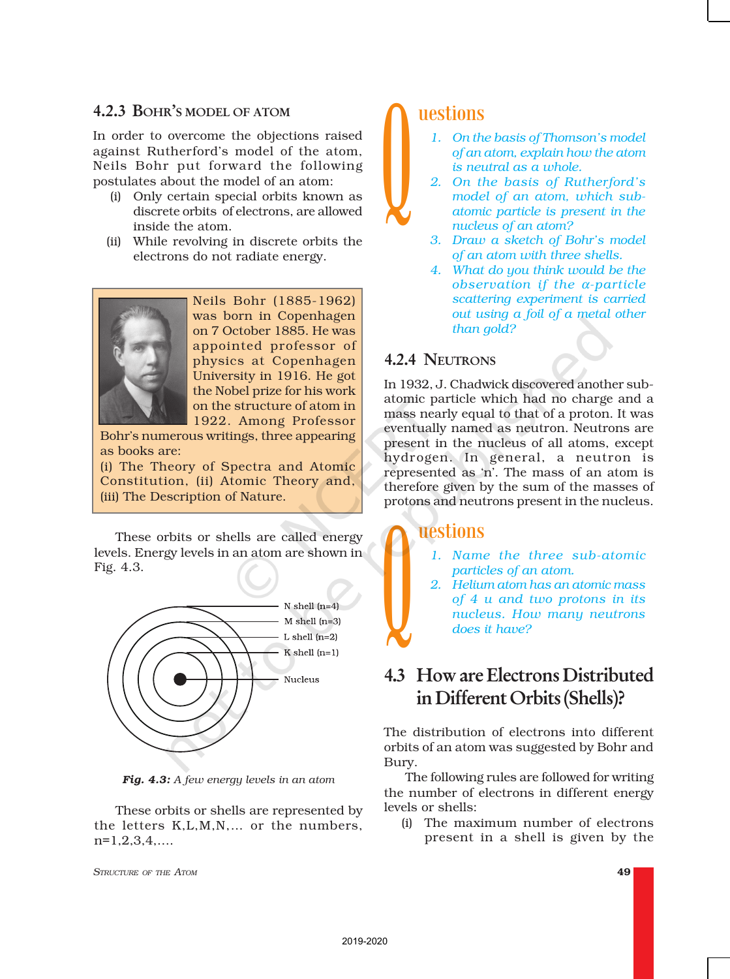#### 4.2.3 BOHR'S MODEL OF ATOM

In order to overcome the objections raised against Rutherford's model of the atom, Neils Bohr put forward the following postulates about the model of an atom:

- (i) Only certain special orbits known as discrete orbits of electrons, are allowed inside the atom.
- (ii) While revolving in discrete orbits the electrons do not radiate energy.



Neils Bohr (1885-1962) was born in Copenhagen on 7 October 1885. He was appointed professor of physics at Copenhagen University in 1916. He got the Nobel prize for his work on the structure of atom in 1922. Among Professor

Bohr's numerous writings, three appearing as books are:

(i) The Theory of Spectra and Atomic Constitution, (ii) Atomic Theory and, (iii) The Description of Nature.

These orbits or shells are called energy levels. Energy levels in an atom are shown in Fig. 4.3.



*Fig. 4.3: A few energy levels in an atom*

These orbits or shells are represented by the letters K,L,M,N,… or the numbers, n=1,2,3,4,….

*STRUCTURE OF THE ATOM* 49

## uestions

- *1. On the basis of Thomson's model of an atom, explain how the atom is neutral as a whole.*
- *2. On the basis of Rutherford's model of an atom, which subatomic particle is present in the nucleus of an atom?*  $\bigcup$  2
	- *3. Draw a sketch of Bohr's model of an atom with three shells.*
	- *4. What do you think would be the observation if the* α*-particle scattering experiment is carried out using a foil of a metal other than gold?*

### 4.2.4 NEUTRONS

In 1932, J. Chadwick discovered another subatomic particle which had no charge and a mass nearly equal to that of a proton. It was eventually named as neutron. Neutrons are present in the nucleus of all atoms, except hydrogen. In general, a neutron is represented as 'n'. The mass of an atom is therefore given by the sum of the masses of protons and neutrons present in the nucleus.

## uestions

- *1. Name the three sub-atomic particles of an atom.*
- *2. Helium atom has an atomic mass of 4 u and two protons in its nucleus. How many neutrons does it have?*  $\bigcup$ <sup>2.</sup>

# 4.3 How are Electrons Distributed in Different Orbits (Shells)?

The distribution of electrons into different orbits of an atom was suggested by Bohr and Bury.

The following rules are followed for writing the number of electrons in different energy levels or shells:

(i) The maximum number of electrons present in a shell is given by the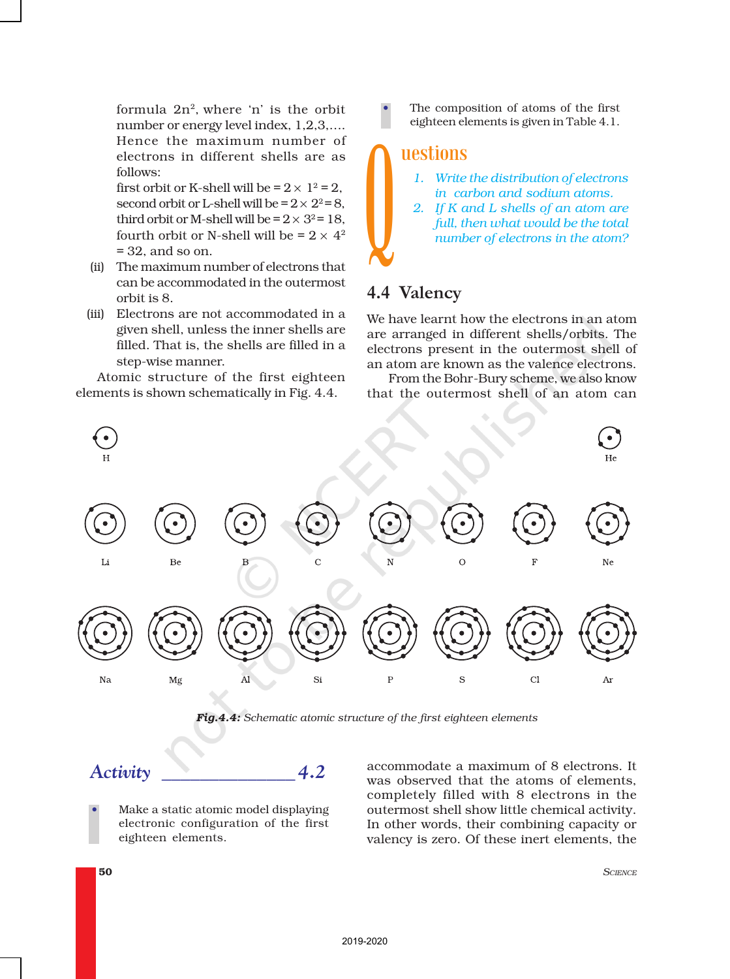formula  $2n^2$ , where 'n' is the orbit number or energy level index, 1,2,3,…. Hence the maximum number of electrons in different shells are as follows:

first orbit or K-shell will be =  $2 \times 1^2$  = 2, second orbit or L-shell will be  $= 2 \times 2^2 = 8$ , third orbit or M-shell will be  $= 2 \times 3^2 = 18$ . fourth orbit or N-shell will be =  $2 \times 4^2$ = 32, and so on.

- (ii) The maximum number of electrons that can be accommodated in the outermost orbit is 8.
- (iii) Electrons are not accommodated in a given shell, unless the inner shells are filled. That is, the shells are filled in a step-wise manner.

Atomic structure of the first eighteen elements is shown schematically in Fig. 4.4.

The composition of atoms of the first eighteen elements is given in Table 4.1.

## uestions

- *1. Write the distribution of electrons in carbon and sodium atoms.*
- *2. If K and L shells of an atom are full, then what would be the total number of electrons in the atom?*  $\int_{\mathbb{R}^2}$

## 4.4 Valency

We have learnt how the electrons in an atom are arranged in different shells/orbits. The electrons present in the outermost shell of an atom are known as the valence electrons.

From the Bohr-Bury scheme, we also know that the outermost shell of an atom can



*Fig.4.4: Schematic atomic structure of the first eighteen elements*

# *Activity \_\_\_\_\_\_\_\_\_\_\_\_\_\_ 4.2*

• Make a static atomic model displaying electronic configuration of the first eighteen elements.

accommodate a maximum of 8 electrons. It was observed that the atoms of elements, completely filled with 8 electrons in the outermost shell show little chemical activity. In other words, their combining capacity or valency is zero. Of these inert elements, the

50 *SCIENCE*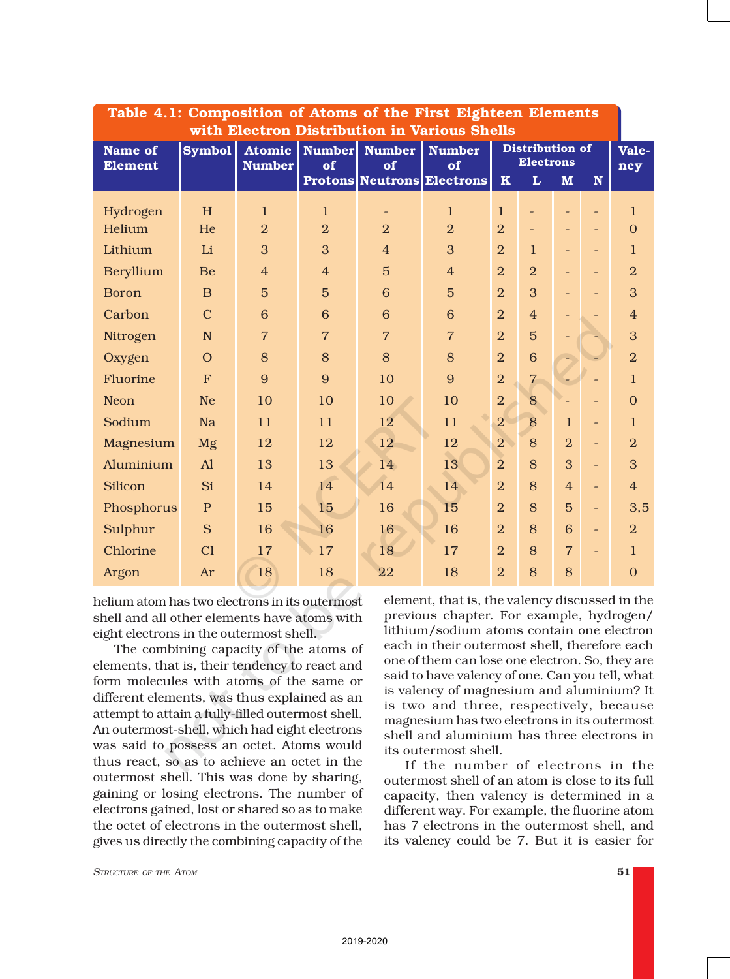| Table 4.1: Composition of Atoms of the First Eighteen Elements<br>with Electron Distribution in Various Shells |                     |                |                |                          |                                         |                |                                     |                          |                          |                |  |
|----------------------------------------------------------------------------------------------------------------|---------------------|----------------|----------------|--------------------------|-----------------------------------------|----------------|-------------------------------------|--------------------------|--------------------------|----------------|--|
| <b>Name of</b>                                                                                                 | Symbol <sup>1</sup> | Atomic         | <b>Number</b>  | <b>Number</b>            | <b>Number</b>                           |                | Distribution of<br><b>Electrons</b> |                          |                          | Vale-          |  |
| <b>Element</b>                                                                                                 |                     | <b>Number</b>  | of             | of                       | of<br><b>Protons Neutrons Electrons</b> | $\mathbf K$    | L                                   | M                        | $\mathbf N$              | ncy            |  |
|                                                                                                                |                     |                |                |                          |                                         |                |                                     |                          |                          |                |  |
| Hydrogen                                                                                                       | H                   | $\mathbf{1}$   | $\mathbf{1}$   | $\overline{\phantom{m}}$ | $\mathbf{1}$                            | $\mathbf{1}$   |                                     |                          |                          | $\mathbf{1}$   |  |
| Helium                                                                                                         | He                  | $\overline{2}$ | $\overline{2}$ | $\overline{2}$           | $\overline{2}$                          | $\overline{2}$ |                                     | $\overline{\phantom{a}}$ | $\overline{\phantom{a}}$ | $\overline{0}$ |  |
| Lithium                                                                                                        | Li                  | 3              | 3              | $\overline{4}$           | 3                                       | $\overline{2}$ | $\mathbf{1}$                        | $\overline{\phantom{a}}$ |                          | $\mathbf{1}$   |  |
| <b>Beryllium</b>                                                                                               | Be                  | $\overline{4}$ | $\overline{4}$ | $\overline{5}$           | $\overline{4}$                          | $\overline{2}$ | $\overline{2}$                      |                          |                          | $\overline{2}$ |  |
| <b>Boron</b>                                                                                                   | $\overline{B}$      | $\overline{5}$ | $\overline{5}$ | 6                        | $\overline{5}$                          | $\overline{2}$ | 3                                   | $\overline{\phantom{0}}$ |                          | 3              |  |
| Carbon                                                                                                         | $\overline{C}$      | 6              | 6              | 6                        | 6                                       | $\overline{2}$ | $\overline{4}$                      | $\overline{\phantom{a}}$ |                          | $\overline{4}$ |  |
| Nitrogen                                                                                                       | N                   | $\overline{7}$ | $\overline{7}$ | $\overline{7}$           | $\overline{7}$                          | $\overline{2}$ | $\overline{5}$                      | $\overline{\phantom{0}}$ |                          | 3              |  |
| Oxygen                                                                                                         | $\overline{O}$      | 8              | 8              | 8                        | 8                                       | $\overline{2}$ | 6                                   | ÷.                       |                          | $\overline{2}$ |  |
| Fluorine                                                                                                       | F                   | 9              | 9              | 10                       | 9                                       | $\overline{2}$ | $\overline{7}$                      |                          | $\qquad \qquad -$        | $\mathbf{1}$   |  |
| <b>Neon</b>                                                                                                    | <b>Ne</b>           | 10             | 10             | 10                       | 10                                      | $\overline{2}$ | 8                                   |                          |                          | $\overline{0}$ |  |
| Sodium                                                                                                         | <b>Na</b>           | 11             | 11             | 12                       | 11                                      | $\overline{2}$ | 8                                   | $\mathbf{1}$             | $\equiv$                 | $\mathbf{1}$   |  |
| Magnesium                                                                                                      | Mg                  | 12             | 12             | 12                       | 12                                      | $\overline{2}$ | 8                                   | $\overline{2}$           | $\overline{\phantom{a}}$ | $\overline{2}$ |  |
| Aluminium                                                                                                      | A1                  | 13             | 13             | 14                       | 13                                      | $\overline{2}$ | 8                                   | 3                        | $\equiv$                 | 3              |  |
| Silicon                                                                                                        | Si                  | 14             | 14             | 14                       | 14                                      | $\overline{2}$ | 8                                   | $\overline{4}$           | $\equiv$                 | $\overline{4}$ |  |
| Phosphorus                                                                                                     | $\mathbf{P}$        | 15             | 15             | 16                       | 15                                      | $\overline{2}$ | 8                                   | $\overline{5}$           | $\overline{\phantom{a}}$ | 3,5            |  |
| Sulphur                                                                                                        | S                   | 16             | 16             | 16                       | 16                                      | $\overline{2}$ | 8                                   | 6                        | $\equiv$                 | $\overline{2}$ |  |
| Chlorine                                                                                                       | C1                  | 17             | 17             | 18                       | 17                                      | $\overline{2}$ | 8                                   | $\overline{7}$           | $\overline{\phantom{0}}$ | $\mathbf{1}$   |  |
| Argon                                                                                                          | Ar                  | 18             | 18             | 22                       | 18                                      | $\overline{2}$ | 8                                   | 8                        |                          | $\overline{0}$ |  |

helium atom has two electrons in its outermost shell and all other elements have atoms with eight electrons in the outermost shell.

The combining capacity of the atoms of elements, that is, their tendency to react and form molecules with atoms of the same or different elements, was thus explained as an attempt to attain a fully-filled outermost shell. An outermost-shell, which had eight electrons was said to possess an octet. Atoms would thus react, so as to achieve an octet in the outermost shell. This was done by sharing, gaining or losing electrons. The number of electrons gained, lost or shared so as to make the octet of electrons in the outermost shell, gives us directly the combining capacity of the element, that is, the valency discussed in the previous chapter. For example, hydrogen/ lithium/sodium atoms contain one electron each in their outermost shell, therefore each one of them can lose one electron. So, they are said to have valency of one. Can you tell, what is valency of magnesium and aluminium? It is two and three, respectively, because magnesium has two electrons in its outermost shell and aluminium has three electrons in its outermost shell.

If the number of electrons in the outermost shell of an atom is close to its full capacity, then valency is determined in a different way. For example, the fluorine atom has 7 electrons in the outermost shell, and its valency could be 7. But it is easier for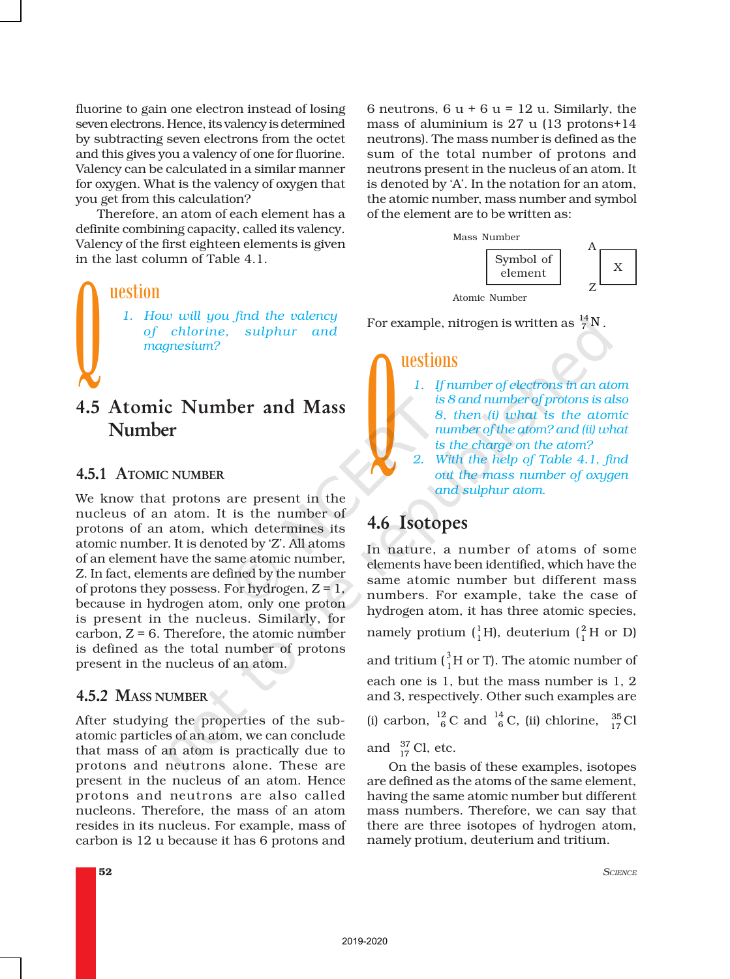fluorine to gain one electron instead of losing seven electrons. Hence, its valency is determined by subtracting seven electrons from the octet and this gives you a valency of one for fluorine. Valency can be calculated in a similar manner for oxygen. What is the valency of oxygen that you get from this calculation?

Therefore, an atom of each element has a definite combining capacity, called its valency. Valency of the first eighteen elements is given in the last column of Table 4.1.

uestion

*1. How will you find the valency of chlorine, sulphur and magnesium?* **V** 

# 4.5 Atomic Number and Mass Number

#### 4.5.1 ATOMIC NUMBER

We know that protons are present in the nucleus of an atom. It is the number of protons of an atom, which determines its atomic number. It is denoted by 'Z'. All atoms of an element have the same atomic number, Z. In fact, elements are defined by the number of protons they possess. For hydrogen,  $Z = 1$ , because in hydrogen atom, only one proton is present in the nucleus. Similarly, for carbon,  $Z = 6$ . Therefore, the atomic number is defined as the total number of protons present in the nucleus of an atom.

#### 4.5.2 MASS NUMBER

After studying the properties of the subatomic particles of an atom, we can conclude that mass of an atom is practically due to protons and neutrons alone. These are present in the nucleus of an atom. Hence protons and neutrons are also called nucleons. Therefore, the mass of an atom resides in its nucleus. For example, mass of carbon is 12 u because it has 6 protons and

6 neutrons,  $6 u + 6 u = 12 u$ . Similarly, the mass of aluminium is 27 u (13 protons+14 neutrons). The mass number is defined as the sum of the total number of protons and neutrons present in the nucleus of an atom. It is denoted by 'A'. In the notation for an atom, the atomic number, mass number and symbol of the element are to be written as:



For example, nitrogen is written as  $^{14}_{7}$ N .

#### uestions

- *1. If number of electrons in an atom is 8 and number of protons is also 8, then (i) what is the atomic number of the atom? and (ii) what is the charge on the atom?*  $\sum_{2}$ 
	- *2. With the help of Table 4.1, find out the mass number of oxygen and sulphur atom.*

# 4.6 Isotopes

In nature, a number of atoms of some elements have been identified, which have the same atomic number but different mass numbers. For example, take the case of hydrogen atom, it has three atomic species, namely protium  $\binom{1}{1}H$ , deuterium  $\binom{2}{1}H$  or D) and tritium ( $^{3}_{1}$ H or T). The atomic number of each one is 1, but the mass number is 1, 2 and 3, respectively. Other such examples are

(i) carbon,  $^{12}_{6}$ C and  $^{14}_{6}$ C, (ii) chlorine,  $^{35}_{17}$ Cl

and  $\frac{37}{17}$  Cl, etc.

On the basis of these examples, isotopes are defined as the atoms of the same element, having the same atomic number but different mass numbers. Therefore, we can say that there are three isotopes of hydrogen atom, namely protium, deuterium and tritium.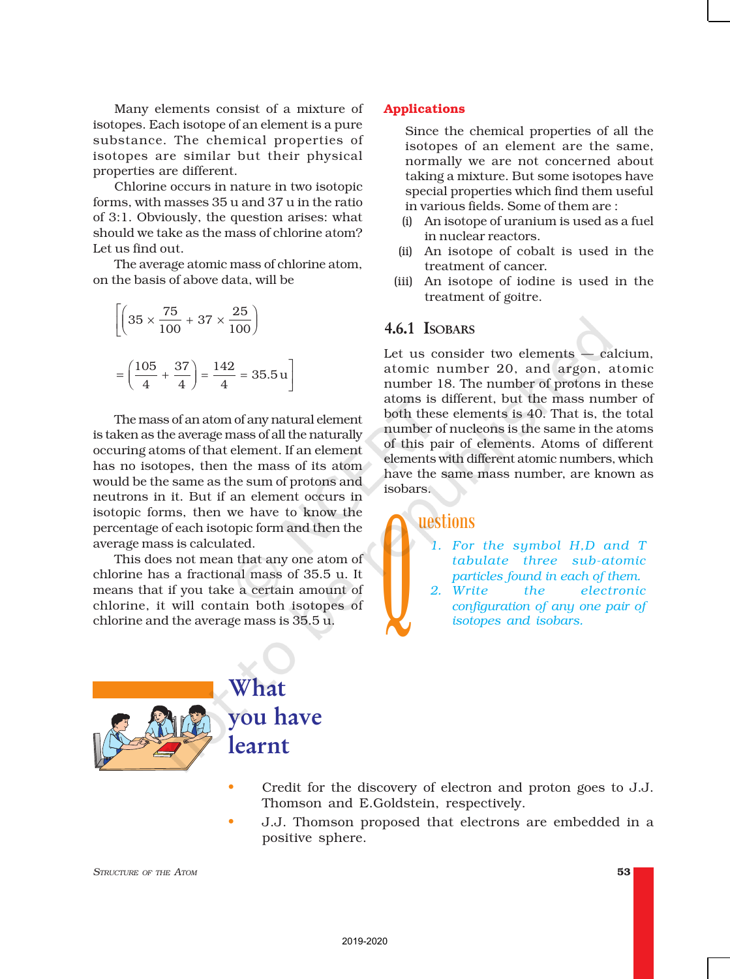Many elements consist of a mixture of isotopes. Each isotope of an element is a pure substance. The chemical properties of isotopes are similar but their physical properties are different.

Chlorine occurs in nature in two isotopic forms, with masses 35 u and 37 u in the ratio of 3:1. Obviously, the question arises: what should we take as the mass of chlorine atom? Let us find out.

The average atomic mass of chlorine atom, on the basis of above data, will be

$$
\left[ \left( 35 \times \frac{75}{100} + 37 \times \frac{25}{100} \right) \right]
$$

$$
= \left( \frac{105}{4} + \frac{37}{4} \right) = \frac{142}{4} = 35.5 \text{ u}
$$

The mass of an atom of any natural element is taken as the average mass of all the naturally occuring atoms of that element. If an element has no isotopes, then the mass of its atom would be the same as the sum of protons and neutrons in it. But if an element occurs in isotopic forms, then we have to know the percentage of each isotopic form and then the average mass is calculated.

This does not mean that any one atom of chlorine has a fractional mass of 35.5 u. It means that if you take a certain amount of chlorine, it will contain both isotopes of chlorine and the average mass is 35.5 u.

#### Applications

Since the chemical properties of all the isotopes of an element are the same, normally we are not concerned about taking a mixture. But some isotopes have special properties which find them useful in various fields. Some of them are :

- (i) An isotope of uranium is used as a fuel in nuclear reactors.
- (ii) An isotope of cobalt is used in the treatment of cancer.
- (iii) An isotope of iodine is used in the treatment of goitre.

#### 4.6.1 ISOBARS

Let us consider two elements — calcium, atomic number 20, and argon, atomic number 18. The number of protons in these atoms is different, but the mass number of both these elements is 40. That is, the total number of nucleons is the same in the atoms of this pair of elements. Atoms of different elements with different atomic numbers, which have the same mass number, are known as isobars.

#### uestions

- *1. For the symbol H,D and T tabulate three sub-atomic particles found in each of them.*
- $\bigcup$  2 *2. Write the electronic configuration of any one pair of isotopes and isobars.*



• Credit for the discovery of electron and proton goes to J.J. Thomson and E.Goldstein, respectively.

• J.J. Thomson proposed that electrons are embedded in a positive sphere.

*STRUCTURE OF THE ATOM* 53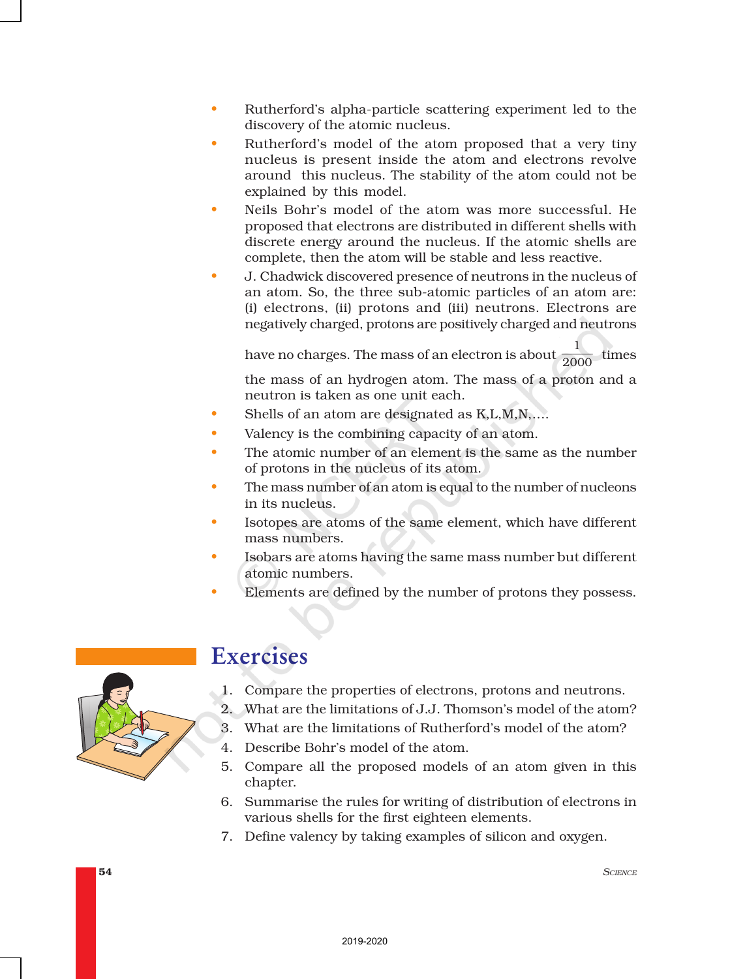- Rutherford's alpha-particle scattering experiment led to the discovery of the atomic nucleus.
- Rutherford's model of the atom proposed that a very tiny nucleus is present inside the atom and electrons revolve around this nucleus. The stability of the atom could not be explained by this model.
- Neils Bohr's model of the atom was more successful. He proposed that electrons are distributed in different shells with discrete energy around the nucleus. If the atomic shells are complete, then the atom will be stable and less reactive.
- J. Chadwick discovered presence of neutrons in the nucleus of an atom. So, the three sub-atomic particles of an atom are: (i) electrons, (ii) protons and (iii) neutrons. Electrons are negatively charged, protons are positively charged and neutrons

have no charges. The mass of an electron is about  $\frac{1}{2000}$  times the mass of an hydrogen atom. The mass of a proton and a neutron is taken as one unit each.

- Shells of an atom are designated as K,L,M,N,….
- Valency is the combining capacity of an atom.
- The atomic number of an element is the same as the number of protons in the nucleus of its atom.
- The mass number of an atom is equal to the number of nucleons in its nucleus.
- Isotopes are atoms of the same element, which have different mass numbers.
- Isobars are atoms having the same mass number but different atomic numbers.
- Elements are defined by the number of protons they possess.



# Exercises

- 1. Compare the properties of electrons, protons and neutrons.
- 2. What are the limitations of J.J. Thomson's model of the atom?
- 3. What are the limitations of Rutherford's model of the atom?
- 4. Describe Bohr's model of the atom.
- 5. Compare all the proposed models of an atom given in this chapter.
- 6. Summarise the rules for writing of distribution of electrons in various shells for the first eighteen elements.
- 7. Define valency by taking examples of silicon and oxygen.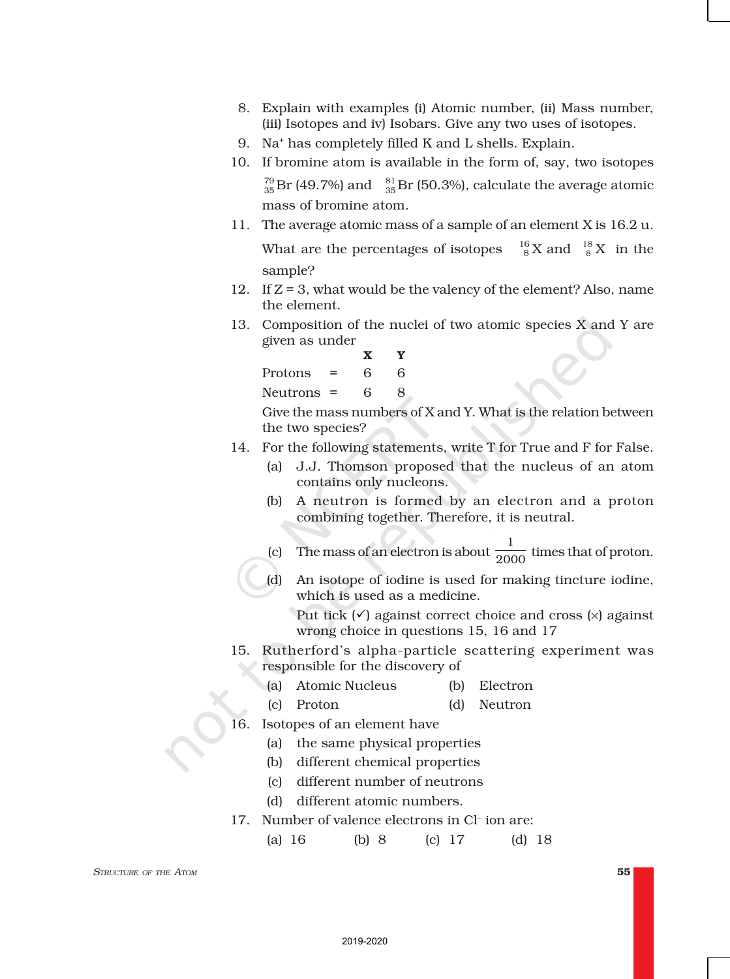- 8. Explain with examples (i) Atomic number, (ii) Mass number, (iii) Isotopes and iv) Isobars. Give any two uses of isotopes.
- 9. Na<sup>+</sup> has completely filled K and L shells. Explain.
- 10. If bromine atom is available in the form of, say, two isotopes  $^{79}_{35}$ Br (49.7%) and  $^{81}_{35}$ Br (50.3%), calculate the average atomic mass of bromine atom.
- 11. The average atomic mass of a sample of an element X is 16.2 u. What are the percentages of isotopes  ${}_{8}^{6}$ X and  ${}_{8}^{18}$ X in the sample?
- 12. If Z = 3, what would be the valency of the element? Also, name the element.
- 13. Composition of the nuclei of two atomic species  $\overline{X}$  and  $\overline{Y}$  are given as under

X Y Protons  $= 6 6$ Neutrons  $= 6 8$ 

Give the mass numbers of X and Y. What is the relation between the two species?

- 14. For the following statements, write T for True and F for False.
	- (a) J.J. Thomson proposed that the nucleus of an atom contains only nucleons.
	- (b) A neutron is formed by an electron and a proton combining together. Therefore, it is neutral.
	- (c) The mass of an electron is about  $\frac{1}{2000}$  times that of proton.
	- (d) An isotope of iodine is used for making tincture iodine, which is used as a medicine.

Put tick  $(\checkmark)$  against correct choice and cross  $(\checkmark)$  against wrong choice in questions 15, 16 and 17

- 15. Rutherford's alpha-particle scattering experiment was responsible for the discovery of
	- (a) Atomic Nucleus (b) Electron
	- (c) Proton (d) Neutron
- 16. Isotopes of an element have
	- (a) the same physical properties
	- (b) different chemical properties
	- (c) different number of neutrons
	- (d) different atomic numbers.
- 17. Number of valence electrons in Cl– ion are:
	- (a) 16 (b) 8 (c) 17 (d) 18